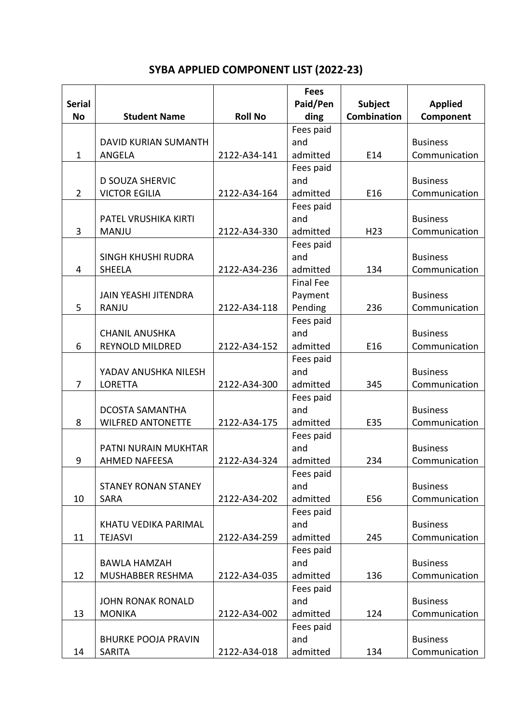## **SYBA APPLIED COMPONENT LIST (2022-23)**

|                |                             |                | <b>Fees</b>      |                    |                 |
|----------------|-----------------------------|----------------|------------------|--------------------|-----------------|
| <b>Serial</b>  |                             |                | Paid/Pen         | Subject            | <b>Applied</b>  |
| <b>No</b>      | <b>Student Name</b>         | <b>Roll No</b> | ding             | <b>Combination</b> | Component       |
|                |                             |                | Fees paid        |                    |                 |
|                | DAVID KURIAN SUMANTH        |                | and              |                    | <b>Business</b> |
| $\mathbf{1}$   | ANGELA                      | 2122-A34-141   | admitted         | E14                | Communication   |
|                |                             |                | Fees paid        |                    |                 |
|                | <b>D SOUZA SHERVIC</b>      |                | and              |                    | <b>Business</b> |
| 2              | <b>VICTOR EGILIA</b>        | 2122-A34-164   | admitted         | E16                | Communication   |
|                |                             |                | Fees paid        |                    |                 |
|                | PATEL VRUSHIKA KIRTI        |                | and              |                    | <b>Business</b> |
| 3              | <b>MANJU</b>                | 2122-A34-330   | admitted         | H <sub>23</sub>    | Communication   |
|                |                             |                | Fees paid        |                    |                 |
|                | <b>SINGH KHUSHI RUDRA</b>   |                | and              |                    | <b>Business</b> |
| 4              | <b>SHEELA</b>               | 2122-A34-236   | admitted         | 134                | Communication   |
|                |                             |                | <b>Final Fee</b> |                    |                 |
|                | <b>JAIN YEASHI JITENDRA</b> |                | Payment          |                    | <b>Business</b> |
| 5              | RANJU                       | 2122-A34-118   | Pending          | 236                | Communication   |
|                |                             |                | Fees paid        |                    |                 |
|                | <b>CHANIL ANUSHKA</b>       |                | and              |                    | <b>Business</b> |
| 6              | <b>REYNOLD MILDRED</b>      | 2122-A34-152   | admitted         | E16                | Communication   |
|                |                             |                | Fees paid        |                    |                 |
|                | YADAV ANUSHKA NILESH        |                | and              |                    | <b>Business</b> |
| $\overline{7}$ | <b>LORETTA</b>              | 2122-A34-300   | admitted         | 345                | Communication   |
|                |                             |                | Fees paid        |                    |                 |
|                | <b>DCOSTA SAMANTHA</b>      |                | and              |                    | <b>Business</b> |
| 8              | <b>WILFRED ANTONETTE</b>    | 2122-A34-175   | admitted         | E35                | Communication   |
|                |                             |                | Fees paid        |                    |                 |
|                | PATNI NURAIN MUKHTAR        |                | and              |                    | <b>Business</b> |
| 9              | <b>AHMED NAFEESA</b>        | 2122-A34-324   | admitted         | 234                | Communication   |
|                |                             |                | Fees paid        |                    |                 |
|                | <b>STANEY RONAN STANEY</b>  |                | and              |                    | <b>Business</b> |
| 10             | <b>SARA</b>                 | 2122-A34-202   | admitted         | E56                | Communication   |
|                |                             |                | Fees paid        |                    |                 |
|                | KHATU VEDIKA PARIMAL        |                | and              |                    | <b>Business</b> |
| 11             | <b>TEJASVI</b>              | 2122-A34-259   | admitted         | 245                | Communication   |
|                |                             |                | Fees paid        |                    |                 |
|                | <b>BAWLA HAMZAH</b>         |                | and              |                    | <b>Business</b> |
| 12             | MUSHABBER RESHMA            | 2122-A34-035   | admitted         | 136                | Communication   |
|                |                             |                | Fees paid        |                    |                 |
|                | <b>JOHN RONAK RONALD</b>    |                | and              |                    | <b>Business</b> |
| 13             | <b>MONIKA</b>               | 2122-A34-002   | admitted         | 124                | Communication   |
|                |                             |                | Fees paid        |                    |                 |
|                | <b>BHURKE POOJA PRAVIN</b>  |                | and              |                    | <b>Business</b> |
| 14             | SARITA                      | 2122-A34-018   | admitted         | 134                | Communication   |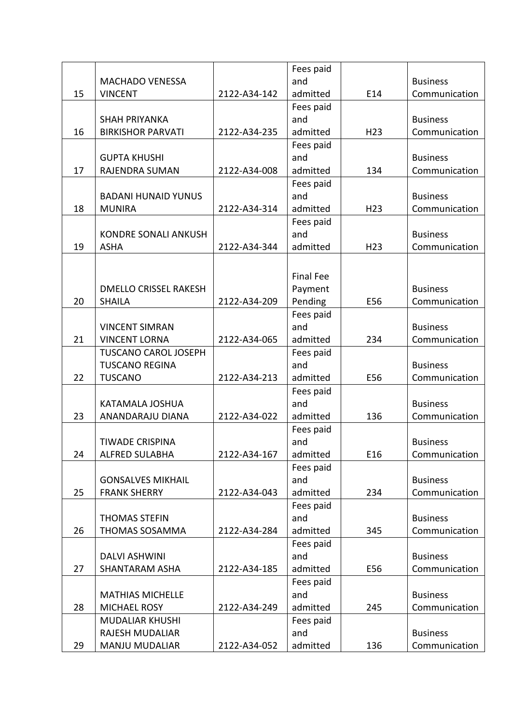|    |                              |              | Fees paid        |                 |                 |
|----|------------------------------|--------------|------------------|-----------------|-----------------|
|    | <b>MACHADO VENESSA</b>       |              | and              |                 | <b>Business</b> |
| 15 | <b>VINCENT</b>               | 2122-A34-142 | admitted         | E14             | Communication   |
|    |                              |              | Fees paid        |                 |                 |
|    | <b>SHAH PRIYANKA</b>         |              | and              |                 | <b>Business</b> |
| 16 | <b>BIRKISHOR PARVATI</b>     | 2122-A34-235 | admitted         | H <sub>23</sub> | Communication   |
|    |                              |              | Fees paid        |                 |                 |
|    | <b>GUPTA KHUSHI</b>          |              | and              |                 | <b>Business</b> |
| 17 | RAJENDRA SUMAN               | 2122-A34-008 | admitted         | 134             | Communication   |
|    |                              |              | Fees paid        |                 |                 |
|    | <b>BADANI HUNAID YUNUS</b>   |              | and              |                 | <b>Business</b> |
| 18 | <b>MUNIRA</b>                | 2122-A34-314 | admitted         | H <sub>23</sub> | Communication   |
|    |                              |              | Fees paid        |                 |                 |
|    | <b>KONDRE SONALI ANKUSH</b>  |              | and              |                 | <b>Business</b> |
| 19 | <b>ASHA</b>                  | 2122-A34-344 | admitted         | H <sub>23</sub> | Communication   |
|    |                              |              |                  |                 |                 |
|    |                              |              | <b>Final Fee</b> |                 |                 |
|    | <b>DMELLO CRISSEL RAKESH</b> |              | Payment          |                 | <b>Business</b> |
| 20 | <b>SHAILA</b>                | 2122-A34-209 | Pending          | E56             | Communication   |
|    |                              |              | Fees paid        |                 |                 |
|    | <b>VINCENT SIMRAN</b>        |              | and              |                 | <b>Business</b> |
| 21 | <b>VINCENT LORNA</b>         | 2122-A34-065 | admitted         | 234             | Communication   |
|    |                              |              |                  |                 |                 |
|    | <b>TUSCANO CAROL JOSEPH</b>  |              | Fees paid<br>and |                 |                 |
|    | <b>TUSCANO REGINA</b>        |              |                  |                 | <b>Business</b> |
| 22 | <b>TUSCANO</b>               | 2122-A34-213 | admitted         | E56             | Communication   |
|    |                              |              | Fees paid<br>and |                 | <b>Business</b> |
| 23 | KATAMALA JOSHUA              | 2122-A34-022 | admitted         | 136             |                 |
|    | ANANDARAJU DIANA             |              |                  |                 | Communication   |
|    |                              |              | Fees paid        |                 |                 |
|    | <b>TIWADE CRISPINA</b>       |              | and              |                 | <b>Business</b> |
| 24 | <b>ALFRED SULABHA</b>        | 2122-A34-167 | admitted         | E16             | Communication   |
|    |                              |              | Fees paid        |                 |                 |
|    | <b>GONSALVES MIKHAIL</b>     |              | and              |                 | <b>Business</b> |
| 25 | <b>FRANK SHERRY</b>          | 2122-A34-043 | admitted         | 234             | Communication   |
|    |                              |              | Fees paid        |                 |                 |
|    | <b>THOMAS STEFIN</b>         |              | and              |                 | <b>Business</b> |
| 26 | THOMAS SOSAMMA               | 2122-A34-284 | admitted         | 345             | Communication   |
|    |                              |              | Fees paid        |                 |                 |
|    | <b>DALVI ASHWINI</b>         |              | and              |                 | <b>Business</b> |
| 27 | SHANTARAM ASHA               | 2122-A34-185 | admitted         | E56             | Communication   |
|    |                              |              | Fees paid        |                 |                 |
|    | <b>MATHIAS MICHELLE</b>      |              | and              |                 | <b>Business</b> |
| 28 | MICHAEL ROSY                 | 2122-A34-249 | admitted         | 245             | Communication   |
|    | <b>MUDALIAR KHUSHI</b>       |              | Fees paid        |                 |                 |
|    | RAJESH MUDALIAR              |              | and              |                 | <b>Business</b> |
| 29 | <b>MANJU MUDALIAR</b>        | 2122-A34-052 | admitted         | 136             | Communication   |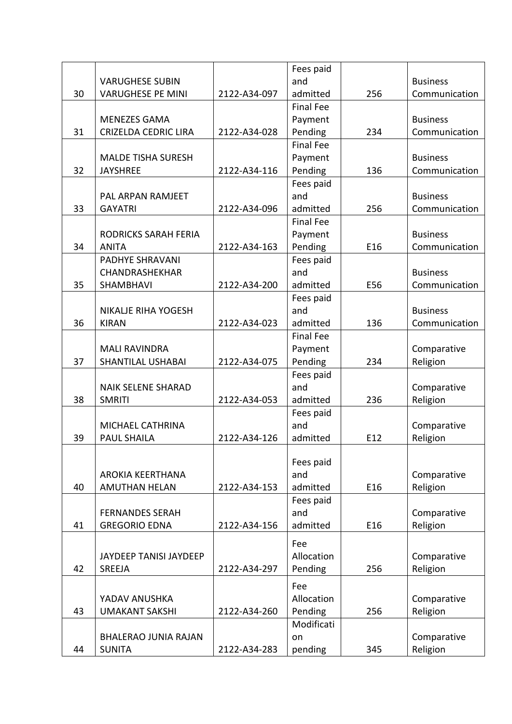|    |                             |              | Fees paid         |     |                         |
|----|-----------------------------|--------------|-------------------|-----|-------------------------|
|    | <b>VARUGHESE SUBIN</b>      |              | and               |     | <b>Business</b>         |
| 30 | <b>VARUGHESE PE MINI</b>    | 2122-A34-097 | admitted          | 256 | Communication           |
|    |                             |              | <b>Final Fee</b>  |     |                         |
|    | <b>MENEZES GAMA</b>         |              | Payment           |     | <b>Business</b>         |
| 31 | <b>CRIZELDA CEDRIC LIRA</b> | 2122-A34-028 | Pending           | 234 | Communication           |
|    |                             |              | <b>Final Fee</b>  |     |                         |
|    | <b>MALDE TISHA SURESH</b>   |              | Payment           |     | <b>Business</b>         |
| 32 | <b>JAYSHREE</b>             | 2122-A34-116 | Pending           | 136 | Communication           |
|    |                             |              | Fees paid         |     |                         |
|    | PAL ARPAN RAMJEET           |              | and               |     | <b>Business</b>         |
| 33 | <b>GAYATRI</b>              | 2122-A34-096 | admitted          | 256 | Communication           |
|    |                             |              | <b>Final Fee</b>  |     |                         |
|    | RODRICKS SARAH FERIA        |              | Payment           |     | <b>Business</b>         |
| 34 | <b>ANITA</b>                | 2122-A34-163 | Pending           | E16 | Communication           |
|    | PADHYE SHRAVANI             |              | Fees paid         |     |                         |
|    | CHANDRASHEKHAR              |              | and               |     | <b>Business</b>         |
| 35 | <b>SHAMBHAVI</b>            | 2122-A34-200 | admitted          | E56 | Communication           |
|    |                             |              | Fees paid         |     |                         |
|    | <b>NIKALJE RIHA YOGESH</b>  |              | and               |     | <b>Business</b>         |
| 36 | <b>KIRAN</b>                | 2122-A34-023 | admitted          | 136 | Communication           |
|    |                             |              | <b>Final Fee</b>  |     |                         |
|    | <b>MALI RAVINDRA</b>        |              | Payment           |     | Comparative             |
| 37 | <b>SHANTILAL USHABAI</b>    | 2122-A34-075 | Pending           | 234 | Religion                |
|    |                             |              | Fees paid         |     |                         |
|    | <b>NAIK SELENE SHARAD</b>   |              | and               |     | Comparative             |
| 38 | <b>SMRITI</b>               | 2122-A34-053 | admitted          | 236 | Religion                |
|    |                             |              | Fees paid         |     |                         |
|    | <b>MICHAEL CATHRINA</b>     |              | and               |     | Comparative             |
| 39 | <b>PAUL SHAILA</b>          | 2122-A34-126 | admitted          | E12 | Religion                |
|    |                             |              |                   |     |                         |
|    |                             |              | Fees paid         |     |                         |
|    | AROKIA KEERTHANA            |              | and               |     | Comparative             |
| 40 | <b>AMUTHAN HELAN</b>        | 2122-A34-153 | admitted          | E16 | Religion                |
|    |                             |              | Fees paid         |     |                         |
|    | <b>FERNANDES SERAH</b>      |              | and               |     | Comparative             |
| 41 | <b>GREGORIO EDNA</b>        | 2122-A34-156 | admitted          | E16 | Religion                |
|    |                             |              |                   |     |                         |
|    | JAYDEEP TANISI JAYDEEP      |              | Fee<br>Allocation |     |                         |
| 42 | <b>SREEJA</b>               | 2122-A34-297 | Pending           | 256 | Comparative<br>Religion |
|    |                             |              |                   |     |                         |
|    |                             |              | Fee               |     |                         |
|    | YADAV ANUSHKA               |              | Allocation        |     | Comparative             |
| 43 | <b>UMAKANT SAKSHI</b>       | 2122-A34-260 | Pending           | 256 | Religion                |
|    |                             |              | Modificati        |     |                         |
|    | <b>BHALERAO JUNIA RAJAN</b> |              | on                |     | Comparative             |
| 44 | <b>SUNITA</b>               | 2122-A34-283 | pending           | 345 | Religion                |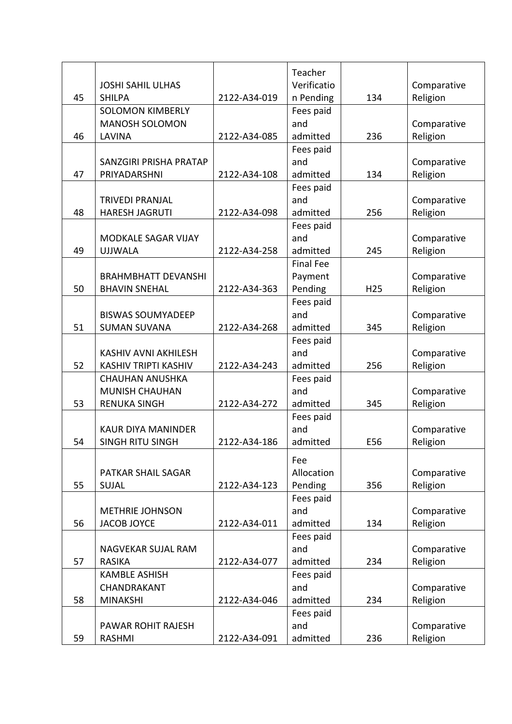|    |                             |              | Teacher          |                 |             |
|----|-----------------------------|--------------|------------------|-----------------|-------------|
|    | <b>JOSHI SAHIL ULHAS</b>    |              | Verificatio      |                 | Comparative |
| 45 | <b>SHILPA</b>               | 2122-A34-019 | n Pending        | 134             | Religion    |
|    | <b>SOLOMON KIMBERLY</b>     |              | Fees paid        |                 |             |
|    | <b>MANOSH SOLOMON</b>       |              | and              |                 | Comparative |
| 46 | <b>LAVINA</b>               | 2122-A34-085 | admitted         | 236             | Religion    |
|    |                             |              | Fees paid        |                 |             |
|    | SANZGIRI PRISHA PRATAP      |              | and              |                 | Comparative |
| 47 | PRIYADARSHNI                | 2122-A34-108 | admitted         | 134             | Religion    |
|    |                             |              | Fees paid        |                 |             |
|    | <b>TRIVEDI PRANJAL</b>      |              | and              |                 | Comparative |
| 48 | <b>HARESH JAGRUTI</b>       | 2122-A34-098 | admitted         | 256             | Religion    |
|    |                             |              | Fees paid        |                 |             |
|    | <b>MODKALE SAGAR VIJAY</b>  |              | and              |                 | Comparative |
| 49 | <b>UJJWALA</b>              | 2122-A34-258 | admitted         | 245             | Religion    |
|    |                             |              | <b>Final Fee</b> |                 |             |
|    | <b>BRAHMBHATT DEVANSHI</b>  |              | Payment          |                 | Comparative |
| 50 | <b>BHAVIN SNEHAL</b>        | 2122-A34-363 | Pending          | H <sub>25</sub> | Religion    |
|    |                             |              | Fees paid        |                 |             |
|    | <b>BISWAS SOUMYADEEP</b>    |              | and              |                 | Comparative |
| 51 | <b>SUMAN SUVANA</b>         | 2122-A34-268 | admitted         | 345             | Religion    |
|    |                             |              | Fees paid        |                 |             |
|    | KASHIV AVNI AKHILESH        |              | and              |                 | Comparative |
| 52 | <b>KASHIV TRIPTI KASHIV</b> | 2122-A34-243 | admitted         | 256             | Religion    |
|    | <b>CHAUHAN ANUSHKA</b>      |              | Fees paid        |                 |             |
|    | <b>MUNISH CHAUHAN</b>       |              | and              |                 | Comparative |
| 53 | <b>RENUKA SINGH</b>         | 2122-A34-272 | admitted         | 345             | Religion    |
|    |                             |              | Fees paid        |                 |             |
|    | <b>KAUR DIYA MANINDER</b>   |              | and              |                 | Comparative |
| 54 | <b>SINGH RITU SINGH</b>     | 2122-A34-186 | admitted         | E56             | Religion    |
|    |                             |              |                  |                 |             |
|    |                             |              | Fee              |                 |             |
|    | PATKAR SHAIL SAGAR          |              | Allocation       |                 | Comparative |
| 55 | <b>SUJAL</b>                | 2122-A34-123 | Pending          | 356             | Religion    |
|    |                             |              | Fees paid        |                 |             |
|    | <b>METHRIE JOHNSON</b>      |              | and              |                 | Comparative |
| 56 | <b>JACOB JOYCE</b>          | 2122-A34-011 | admitted         | 134             | Religion    |
|    |                             |              | Fees paid        |                 |             |
|    | NAGVEKAR SUJAL RAM          |              | and              |                 | Comparative |
| 57 | <b>RASIKA</b>               | 2122-A34-077 | admitted         | 234             | Religion    |
|    | <b>KAMBLE ASHISH</b>        |              | Fees paid        |                 |             |
|    | CHANDRAKANT                 |              | and              |                 | Comparative |
| 58 | <b>MINAKSHI</b>             | 2122-A34-046 | admitted         | 234             | Religion    |
|    |                             |              | Fees paid        |                 |             |
|    | PAWAR ROHIT RAJESH          |              | and              |                 | Comparative |
| 59 | <b>RASHMI</b>               | 2122-A34-091 | admitted         | 236             | Religion    |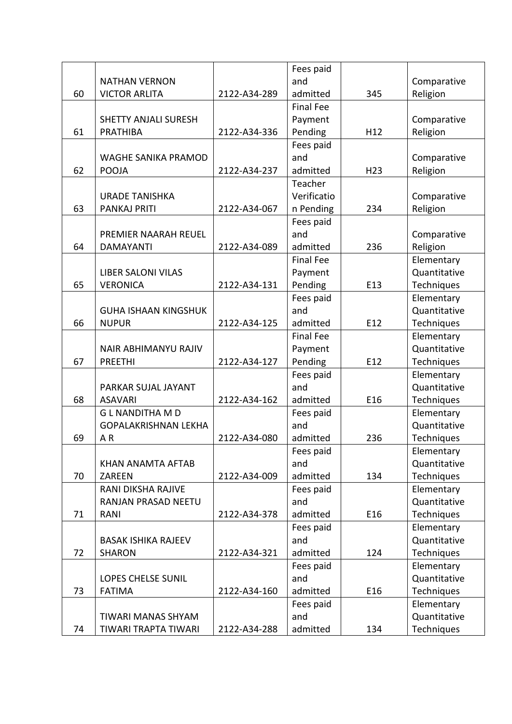|    |                             |              | Fees paid        |                 |              |
|----|-----------------------------|--------------|------------------|-----------------|--------------|
|    | <b>NATHAN VERNON</b>        |              | and              |                 | Comparative  |
| 60 | <b>VICTOR ARLITA</b>        | 2122-A34-289 | admitted         | 345             | Religion     |
|    |                             |              | <b>Final Fee</b> |                 |              |
|    | <b>SHETTY ANJALI SURESH</b> |              | Payment          |                 | Comparative  |
| 61 | <b>PRATHIBA</b>             | 2122-A34-336 | Pending          | H12             | Religion     |
|    |                             |              | Fees paid        |                 |              |
|    | <b>WAGHE SANIKA PRAMOD</b>  |              | and              |                 | Comparative  |
| 62 | POOJA                       | 2122-A34-237 | admitted         | H <sub>23</sub> | Religion     |
|    |                             |              | Teacher          |                 |              |
|    | <b>URADE TANISHKA</b>       |              | Verificatio      |                 | Comparative  |
| 63 | <b>PANKAJ PRITI</b>         | 2122-A34-067 | n Pending        | 234             | Religion     |
|    |                             |              | Fees paid        |                 |              |
|    | PREMIER NAARAH REUEL        |              | and              |                 | Comparative  |
| 64 | <b>DAMAYANTI</b>            | 2122-A34-089 | admitted         | 236             | Religion     |
|    |                             |              | <b>Final Fee</b> |                 | Elementary   |
|    | <b>LIBER SALONI VILAS</b>   |              | Payment          |                 | Quantitative |
| 65 | <b>VERONICA</b>             | 2122-A34-131 | Pending          | E13             | Techniques   |
|    |                             |              | Fees paid        |                 | Elementary   |
|    | <b>GUHA ISHAAN KINGSHUK</b> |              | and              |                 | Quantitative |
| 66 | <b>NUPUR</b>                | 2122-A34-125 | admitted         | E12             | Techniques   |
|    |                             |              | <b>Final Fee</b> |                 | Elementary   |
|    | <b>NAIR ABHIMANYU RAJIV</b> |              | Payment          |                 | Quantitative |
| 67 | <b>PREETHI</b>              | 2122-A34-127 | Pending          | E12             | Techniques   |
|    |                             |              | Fees paid        |                 | Elementary   |
|    | PARKAR SUJAL JAYANT         |              | and              |                 | Quantitative |
| 68 | <b>ASAVARI</b>              | 2122-A34-162 | admitted         | E16             | Techniques   |
|    | <b>GL NANDITHA MD</b>       |              | Fees paid        |                 | Elementary   |
|    | <b>GOPALAKRISHNAN LEKHA</b> |              | and              |                 | Quantitative |
| 69 | A R                         | 2122-A34-080 | admitted         | 236             | Techniques   |
|    |                             |              | Fees paid        |                 | Elementary   |
|    | KHAN ANAMTA AFTAB           |              | and              |                 | Quantitative |
| 70 | ZAREEN                      | 2122-A34-009 | admitted         | 134             | Techniques   |
|    | <b>RANI DIKSHA RAJIVE</b>   |              | Fees paid        |                 | Elementary   |
|    | RANJAN PRASAD NEETU         |              | and              |                 | Quantitative |
| 71 | RANI                        | 2122-A34-378 | admitted         | E16             | Techniques   |
|    |                             |              | Fees paid        |                 | Elementary   |
|    | <b>BASAK ISHIKA RAJEEV</b>  |              | and              |                 | Quantitative |
| 72 | <b>SHARON</b>               | 2122-A34-321 | admitted         | 124             | Techniques   |
|    |                             |              | Fees paid        |                 | Elementary   |
|    | LOPES CHELSE SUNIL          |              | and              |                 | Quantitative |
| 73 | <b>FATIMA</b>               | 2122-A34-160 | admitted         | E16             | Techniques   |
|    |                             |              | Fees paid        |                 | Elementary   |
|    | <b>TIWARI MANAS SHYAM</b>   |              | and              |                 | Quantitative |
| 74 | TIWARI TRAPTA TIWARI        | 2122-A34-288 | admitted         | 134             | Techniques   |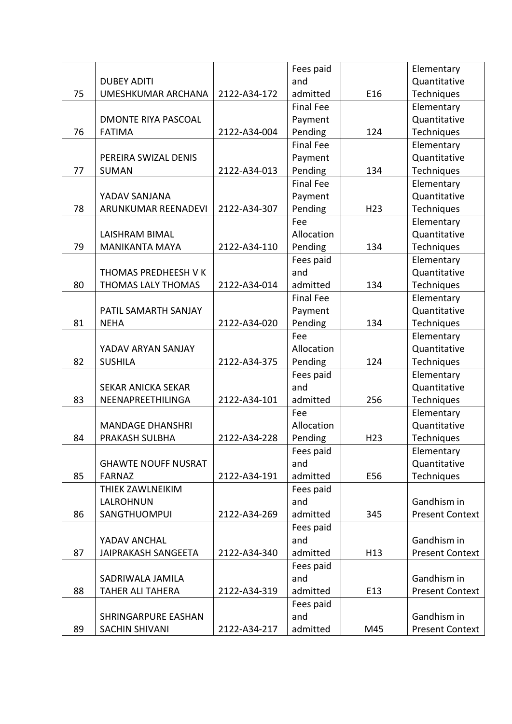|    |                            |              | Fees paid        |                 | Elementary             |
|----|----------------------------|--------------|------------------|-----------------|------------------------|
|    | <b>DUBEY ADITI</b>         |              | and              |                 | Quantitative           |
| 75 | UMESHKUMAR ARCHANA         | 2122-A34-172 | admitted         | E16             | Techniques             |
|    |                            |              | <b>Final Fee</b> |                 | Elementary             |
|    | DMONTE RIYA PASCOAL        |              | Payment          |                 | Quantitative           |
| 76 | <b>FATIMA</b>              | 2122-A34-004 | Pending          | 124             | Techniques             |
|    |                            |              | <b>Final Fee</b> |                 | Elementary             |
|    | PEREIRA SWIZAL DENIS       |              | Payment          |                 | Quantitative           |
| 77 | <b>SUMAN</b>               | 2122-A34-013 | Pending          | 134             | Techniques             |
|    |                            |              | <b>Final Fee</b> |                 | Elementary             |
|    | YADAV SANJANA              |              | Payment          |                 | Quantitative           |
| 78 | ARUNKUMAR REENADEVI        | 2122-A34-307 | Pending          | H23             | Techniques             |
|    |                            |              | Fee              |                 | Elementary             |
|    | <b>LAISHRAM BIMAL</b>      |              | Allocation       |                 | Quantitative           |
| 79 | <b>MANIKANTA MAYA</b>      | 2122-A34-110 | Pending          | 134             | Techniques             |
|    |                            |              | Fees paid        |                 | Elementary             |
|    | THOMAS PREDHEESH V K       |              | and              |                 | Quantitative           |
| 80 | <b>THOMAS LALY THOMAS</b>  | 2122-A34-014 | admitted         | 134             | Techniques             |
|    |                            |              | <b>Final Fee</b> |                 | Elementary             |
|    | PATIL SAMARTH SANJAY       |              | Payment          |                 | Quantitative           |
| 81 | <b>NEHA</b>                | 2122-A34-020 | Pending          | 134             | Techniques             |
|    |                            |              | Fee              |                 | Elementary             |
|    | YADAV ARYAN SANJAY         |              | Allocation       |                 | Quantitative           |
| 82 | <b>SUSHILA</b>             | 2122-A34-375 | Pending          | 124             | Techniques             |
|    |                            |              | Fees paid        |                 | Elementary             |
|    | <b>SEKAR ANICKA SEKAR</b>  |              | and              |                 | Quantitative           |
| 83 | NEENAPREETHILINGA          | 2122-A34-101 | admitted         | 256             | Techniques             |
|    |                            |              | Fee              |                 | Elementary             |
|    | <b>MANDAGE DHANSHRI</b>    |              | Allocation       |                 | Quantitative           |
| 84 | <b>PRAKASH SULBHA</b>      | 2122-A34-228 | Pending          | H <sub>23</sub> | Techniques             |
|    |                            |              | Fees paid        |                 | Elementary             |
|    | <b>GHAWTE NOUFF NUSRAT</b> |              | and              |                 | Quantitative           |
| 85 | <b>FARNAZ</b>              | 2122-A34-191 | admitted         | E56             | Techniques             |
|    | THIEK ZAWLNEIKIM           |              | Fees paid        |                 |                        |
|    | LALROHNUN                  |              | and              |                 | Gandhism in            |
| 86 | SANGTHUOMPUI               | 2122-A34-269 | admitted         | 345             | <b>Present Context</b> |
|    |                            |              | Fees paid        |                 |                        |
|    | YADAV ANCHAL               |              | and              |                 | Gandhism in            |
| 87 | <b>JAIPRAKASH SANGEETA</b> | 2122-A34-340 | admitted         | H13             | <b>Present Context</b> |
|    |                            |              | Fees paid        |                 |                        |
|    | SADRIWALA JAMILA           |              | and              |                 | Gandhism in            |
| 88 | <b>TAHER ALI TAHERA</b>    | 2122-A34-319 | admitted         | E13             | <b>Present Context</b> |
|    |                            |              | Fees paid        |                 |                        |
|    | SHRINGARPURE EASHAN        |              | and              |                 | Gandhism in            |
| 89 | <b>SACHIN SHIVANI</b>      | 2122-A34-217 | admitted         | M45             | <b>Present Context</b> |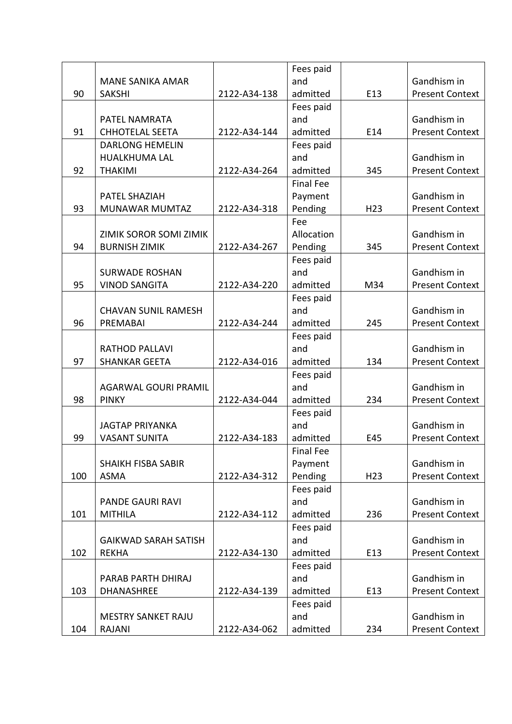|     |                             |              | Fees paid        |                 |                        |
|-----|-----------------------------|--------------|------------------|-----------------|------------------------|
|     | <b>MANE SANIKA AMAR</b>     |              | and              |                 | Gandhism in            |
| 90  | <b>SAKSHI</b>               | 2122-A34-138 | admitted         | E13             | <b>Present Context</b> |
|     |                             |              | Fees paid        |                 |                        |
|     | PATEL NAMRATA               |              | and              |                 | Gandhism in            |
| 91  | <b>CHHOTELAL SEETA</b>      | 2122-A34-144 | admitted         | E14             | <b>Present Context</b> |
|     | <b>DARLONG HEMELIN</b>      |              | Fees paid        |                 |                        |
|     | <b>HUALKHUMA LAL</b>        |              | and              |                 | Gandhism in            |
| 92  | <b>THAKIMI</b>              | 2122-A34-264 | admitted         | 345             | <b>Present Context</b> |
|     |                             |              | <b>Final Fee</b> |                 |                        |
|     | PATEL SHAZIAH               |              | Payment          |                 | Gandhism in            |
| 93  | MUNAWAR MUMTAZ              | 2122-A34-318 | Pending          | H <sub>23</sub> | <b>Present Context</b> |
|     |                             |              | Fee              |                 |                        |
|     | ZIMIK SOROR SOMI ZIMIK      |              | Allocation       |                 | Gandhism in            |
| 94  | <b>BURNISH ZIMIK</b>        | 2122-A34-267 | Pending          | 345             | <b>Present Context</b> |
|     |                             |              | Fees paid        |                 |                        |
|     | <b>SURWADE ROSHAN</b>       |              | and              |                 | Gandhism in            |
| 95  | <b>VINOD SANGITA</b>        | 2122-A34-220 | admitted         | M34             | <b>Present Context</b> |
|     |                             |              | Fees paid        |                 |                        |
|     | <b>CHAVAN SUNIL RAMESH</b>  |              | and              |                 | Gandhism in            |
| 96  | PREMABAI                    | 2122-A34-244 | admitted         | 245             | <b>Present Context</b> |
|     |                             |              | Fees paid        |                 |                        |
|     | <b>RATHOD PALLAVI</b>       |              | and              |                 | Gandhism in            |
| 97  | <b>SHANKAR GEETA</b>        | 2122-A34-016 | admitted         | 134             | <b>Present Context</b> |
|     |                             |              | Fees paid        |                 |                        |
|     | <b>AGARWAL GOURI PRAMIL</b> |              | and              |                 | Gandhism in            |
| 98  | <b>PINKY</b>                | 2122-A34-044 | admitted         | 234             | <b>Present Context</b> |
|     |                             |              | Fees paid        |                 |                        |
|     | <b>JAGTAP PRIYANKA</b>      |              | and              |                 | Gandhism in            |
| 99  | <b>VASANT SUNITA</b>        | 2122-A34-183 | admitted         | E45             | <b>Present Context</b> |
|     |                             |              | <b>Final Fee</b> |                 |                        |
|     | <b>SHAIKH FISBA SABIR</b>   |              | Payment          |                 | Gandhism in            |
| 100 | <b>ASMA</b>                 | 2122-A34-312 | Pending          | H <sub>23</sub> | <b>Present Context</b> |
|     |                             |              | Fees paid        |                 |                        |
|     | <b>PANDE GAURI RAVI</b>     |              | and              |                 | Gandhism in            |
| 101 | <b>MITHILA</b>              | 2122-A34-112 | admitted         | 236             | <b>Present Context</b> |
|     |                             |              | Fees paid        |                 |                        |
|     | <b>GAIKWAD SARAH SATISH</b> |              | and              |                 | Gandhism in            |
| 102 | <b>REKHA</b>                | 2122-A34-130 | admitted         | E13             | <b>Present Context</b> |
|     |                             |              | Fees paid        |                 |                        |
|     | PARAB PARTH DHIRAJ          |              | and              |                 | Gandhism in            |
| 103 | <b>DHANASHREE</b>           | 2122-A34-139 | admitted         | E13             | <b>Present Context</b> |
|     |                             |              | Fees paid        |                 |                        |
|     | <b>MESTRY SANKET RAJU</b>   |              | and              |                 | Gandhism in            |
| 104 | RAJANI                      | 2122-A34-062 | admitted         | 234             | <b>Present Context</b> |
|     |                             |              |                  |                 |                        |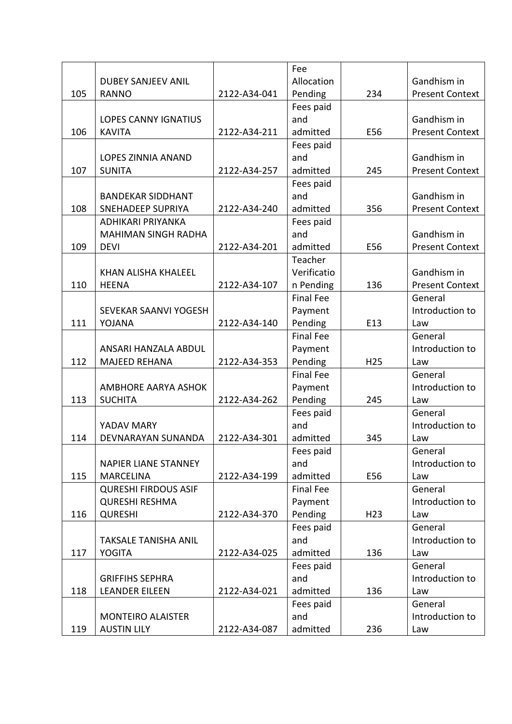|     |                             |              | Fee              |                 |                        |
|-----|-----------------------------|--------------|------------------|-----------------|------------------------|
|     | <b>DUBEY SANJEEV ANIL</b>   |              | Allocation       |                 | Gandhism in            |
| 105 | <b>RANNO</b>                | 2122-A34-041 | Pending          | 234             | <b>Present Context</b> |
|     |                             |              | Fees paid        |                 |                        |
|     | <b>LOPES CANNY IGNATIUS</b> |              | and              |                 | Gandhism in            |
| 106 | <b>KAVITA</b>               | 2122-A34-211 | admitted         | E56             | <b>Present Context</b> |
|     |                             |              | Fees paid        |                 |                        |
|     | <b>LOPES ZINNIA ANAND</b>   |              | and              |                 | Gandhism in            |
| 107 | <b>SUNITA</b>               | 2122-A34-257 | admitted         | 245             | <b>Present Context</b> |
|     |                             |              | Fees paid        |                 |                        |
|     | <b>BANDEKAR SIDDHANT</b>    |              | and              |                 | Gandhism in            |
| 108 | <b>SNEHADEEP SUPRIYA</b>    | 2122-A34-240 | admitted         | 356             | <b>Present Context</b> |
|     | <b>ADHIKARI PRIYANKA</b>    |              | Fees paid        |                 |                        |
|     | <b>MAHIMAN SINGH RADHA</b>  |              | and              |                 | Gandhism in            |
| 109 | <b>DEVI</b>                 | 2122-A34-201 | admitted         | E56             | <b>Present Context</b> |
|     |                             |              | Teacher          |                 |                        |
|     | KHAN ALISHA KHALEEL         |              | Verificatio      |                 | Gandhism in            |
| 110 | <b>HEENA</b>                | 2122-A34-107 | n Pending        | 136             | <b>Present Context</b> |
|     |                             |              | <b>Final Fee</b> |                 | General                |
|     | SEVEKAR SAANVI YOGESH       |              | Payment          |                 | Introduction to        |
| 111 | YOJANA                      | 2122-A34-140 | Pending          | E13             | Law                    |
|     |                             |              | <b>Final Fee</b> |                 | General                |
|     | ANSARI HANZALA ABDUL        |              | Payment          |                 | Introduction to        |
| 112 | <b>MAJEED REHANA</b>        | 2122-A34-353 | Pending          | H <sub>25</sub> | Law                    |
|     |                             |              | <b>Final Fee</b> |                 | General                |
|     | AMBHORE AARYA ASHOK         |              | Payment          |                 | Introduction to        |
| 113 | <b>SUCHITA</b>              | 2122-A34-262 | Pending          | 245             | Law                    |
|     |                             |              | Fees paid        |                 | General                |
|     | YADAV MARY                  |              | and              |                 | Introduction to        |
| 114 | DEVNARAYAN SUNANDA          | 2122-A34-301 | admitted         | 345             | Law                    |
|     |                             |              | Fees paid        |                 | General                |
|     | <b>NAPIER LIANE STANNEY</b> |              | and              |                 | Introduction to        |
| 115 | <b>MARCELINA</b>            | 2122-A34-199 | admitted         | E56             | Law                    |
|     | <b>QURESHI FIRDOUS ASIF</b> |              | <b>Final Fee</b> |                 | General                |
|     | <b>QURESHI RESHMA</b>       |              | Payment          |                 | Introduction to        |
| 116 | <b>QURESHI</b>              | 2122-A34-370 | Pending          | H <sub>23</sub> | Law                    |
|     |                             |              |                  |                 | General                |
|     |                             |              | Fees paid<br>and |                 | Introduction to        |
| 117 | <b>TAKSALE TANISHA ANIL</b> | 2122-A34-025 | admitted         | 136             |                        |
|     | <b>YOGITA</b>               |              |                  |                 | Law<br>General         |
|     |                             |              | Fees paid<br>and |                 |                        |
|     | <b>GRIFFIHS SEPHRA</b>      |              |                  |                 | Introduction to        |
| 118 | <b>LEANDER EILEEN</b>       | 2122-A34-021 | admitted         | 136             | Law                    |
|     |                             |              | Fees paid        |                 | General                |
|     | <b>MONTEIRO ALAISTER</b>    |              | and              |                 | Introduction to        |
| 119 | <b>AUSTIN LILY</b>          | 2122-A34-087 | admitted         | 236             | Law                    |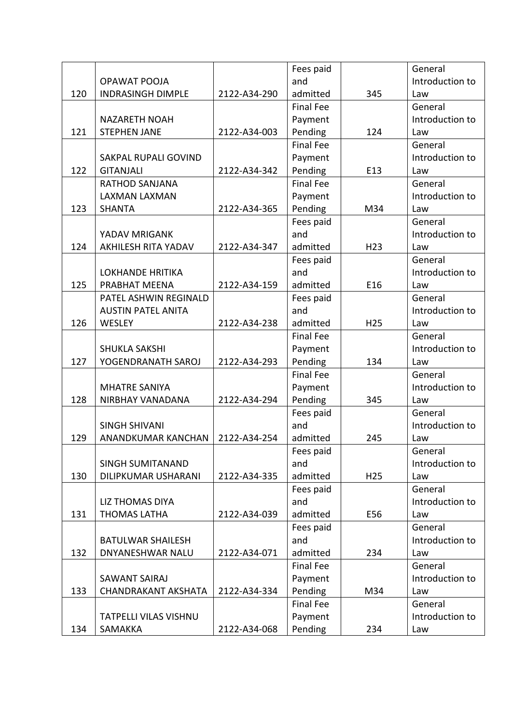|     |                              |              | Fees paid        |                 | General         |
|-----|------------------------------|--------------|------------------|-----------------|-----------------|
|     | OPAWAT POOJA                 |              | and              |                 | Introduction to |
| 120 | <b>INDRASINGH DIMPLE</b>     | 2122-A34-290 | admitted         | 345             | Law             |
|     |                              |              | <b>Final Fee</b> |                 | General         |
|     | <b>NAZARETH NOAH</b>         |              | Payment          |                 | Introduction to |
| 121 | <b>STEPHEN JANE</b>          | 2122-A34-003 | Pending          | 124             | Law             |
|     |                              |              | <b>Final Fee</b> |                 | General         |
|     | SAKPAL RUPALI GOVIND         |              | Payment          |                 | Introduction to |
| 122 | <b>GITANJALI</b>             | 2122-A34-342 | Pending          | E13             | Law             |
|     | RATHOD SANJANA               |              | <b>Final Fee</b> |                 | General         |
|     | <b>LAXMAN LAXMAN</b>         |              | Payment          |                 | Introduction to |
| 123 | <b>SHANTA</b>                | 2122-A34-365 | Pending          | M34             | Law             |
|     |                              |              | Fees paid        |                 | General         |
|     | YADAV MRIGANK                |              | and              |                 | Introduction to |
| 124 | <b>AKHILESH RITA YADAV</b>   | 2122-A34-347 | admitted         | H <sub>23</sub> | Law             |
|     |                              |              | Fees paid        |                 | General         |
|     | <b>LOKHANDE HRITIKA</b>      |              | and              |                 | Introduction to |
| 125 | PRABHAT MEENA                | 2122-A34-159 | admitted         | E16             | Law             |
|     | PATEL ASHWIN REGINALD        |              | Fees paid        |                 | General         |
|     | <b>AUSTIN PATEL ANITA</b>    |              | and              |                 | Introduction to |
| 126 | <b>WESLEY</b>                | 2122-A34-238 | admitted         | H <sub>25</sub> | Law             |
|     |                              |              | <b>Final Fee</b> |                 | General         |
|     | <b>SHUKLA SAKSHI</b>         |              | Payment          |                 | Introduction to |
| 127 | YOGENDRANATH SAROJ           | 2122-A34-293 | Pending          | 134             | Law             |
|     |                              |              | <b>Final Fee</b> |                 | General         |
|     | <b>MHATRE SANIYA</b>         |              | Payment          |                 | Introduction to |
| 128 | NIRBHAY VANADANA             | 2122-A34-294 | Pending          | 345             | Law             |
|     |                              |              | Fees paid        |                 | General         |
|     | <b>SINGH SHIVANI</b>         |              | and              |                 | Introduction to |
| 129 | ANANDKUMAR KANCHAN           | 2122-A34-254 | admitted         | 245             | Law             |
|     |                              |              | Fees paid        |                 | General         |
|     | SINGH SUMITANAND             |              | and              |                 | Introduction to |
| 130 | DILIPKUMAR USHARANI          | 2122-A34-335 | admitted         | H <sub>25</sub> | Law             |
|     |                              |              | Fees paid        |                 | General         |
|     | <b>LIZ THOMAS DIYA</b>       |              | and              |                 | Introduction to |
| 131 | <b>THOMAS LATHA</b>          | 2122-A34-039 | admitted         | E56             | Law             |
|     |                              |              | Fees paid        |                 | General         |
|     | <b>BATULWAR SHAILESH</b>     |              | and              |                 | Introduction to |
| 132 | <b>DNYANESHWAR NALU</b>      | 2122-A34-071 | admitted         | 234             | Law             |
|     |                              |              | <b>Final Fee</b> |                 | General         |
|     | SAWANT SAIRAJ                |              | Payment          |                 | Introduction to |
| 133 | <b>CHANDRAKANT AKSHATA</b>   | 2122-A34-334 | Pending          | M34             | Law             |
|     |                              |              | <b>Final Fee</b> |                 | General         |
|     | <b>TATPELLI VILAS VISHNU</b> |              | Payment          |                 | Introduction to |
| 134 | SAMAKKA                      | 2122-A34-068 | Pending          | 234             | Law             |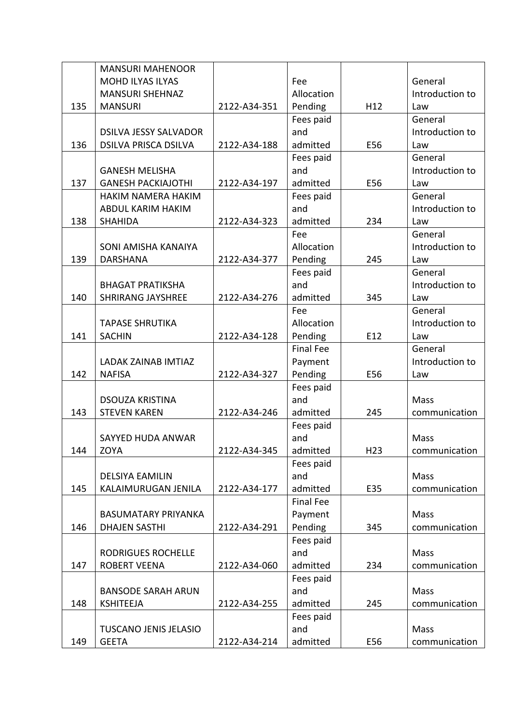|     | <b>MANSURI MAHENOOR</b>      |              |                  |                 |                 |
|-----|------------------------------|--------------|------------------|-----------------|-----------------|
|     | MOHD ILYAS ILYAS             |              | Fee              |                 | General         |
|     | <b>MANSURI SHEHNAZ</b>       |              | Allocation       |                 | Introduction to |
| 135 | <b>MANSURI</b>               | 2122-A34-351 | Pending          | H12             | Law             |
|     |                              |              | Fees paid        |                 | General         |
|     | <b>DSILVA JESSY SALVADOR</b> |              | and              |                 | Introduction to |
| 136 | <b>DSILVA PRISCA DSILVA</b>  | 2122-A34-188 | admitted         | E56             | Law             |
|     |                              |              | Fees paid        |                 | General         |
|     | <b>GANESH MELISHA</b>        |              | and              |                 | Introduction to |
| 137 | <b>GANESH PACKIAJOTHI</b>    | 2122-A34-197 | admitted         | E56             | Law             |
|     | <b>HAKIM NAMERA HAKIM</b>    |              | Fees paid        |                 | General         |
|     | <b>ABDUL KARIM HAKIM</b>     |              | and              |                 | Introduction to |
| 138 | <b>SHAHIDA</b>               | 2122-A34-323 | admitted         | 234             | Law             |
|     |                              |              | Fee              |                 | General         |
|     | SONI AMISHA KANAIYA          |              | Allocation       |                 | Introduction to |
| 139 | <b>DARSHANA</b>              | 2122-A34-377 | Pending          | 245             | Law             |
|     |                              |              | Fees paid        |                 | General         |
|     | <b>BHAGAT PRATIKSHA</b>      |              | and              |                 | Introduction to |
| 140 | <b>SHRIRANG JAYSHREE</b>     | 2122-A34-276 | admitted         | 345             | Law             |
|     |                              |              | Fee              |                 | General         |
|     | <b>TAPASE SHRUTIKA</b>       |              | Allocation       |                 | Introduction to |
| 141 | <b>SACHIN</b>                | 2122-A34-128 | Pending          | E12             | Law             |
|     |                              |              | <b>Final Fee</b> |                 | General         |
|     | <b>LADAK ZAINAB IMTIAZ</b>   |              | Payment          |                 | Introduction to |
| 142 | <b>NAFISA</b>                | 2122-A34-327 | Pending          | E56             | Law             |
|     |                              |              | Fees paid        |                 |                 |
|     | <b>DSOUZA KRISTINA</b>       |              | and              |                 | Mass            |
| 143 | <b>STEVEN KAREN</b>          | 2122-A34-246 | admitted         | 245             | communication   |
|     |                              |              | Fees paid        |                 |                 |
|     | SAYYED HUDA ANWAR            |              | and              |                 | Mass            |
| 144 | ZOYA                         | 2122-A34-345 | admitted         | H <sub>23</sub> | communication   |
|     |                              |              | Fees paid        |                 |                 |
|     | <b>DELSIYA EAMILIN</b>       |              | and              |                 | Mass            |
| 145 | KALAIMURUGAN JENILA          | 2122-A34-177 | admitted         | E35             | communication   |
|     |                              |              | <b>Final Fee</b> |                 |                 |
|     | <b>BASUMATARY PRIYANKA</b>   |              | Payment          |                 | Mass            |
| 146 | <b>DHAJEN SASTHI</b>         | 2122-A34-291 | Pending          | 345             | communication   |
|     |                              |              | Fees paid        |                 |                 |
|     | RODRIGUES ROCHELLE           |              | and              |                 | Mass            |
| 147 | <b>ROBERT VEENA</b>          | 2122-A34-060 | admitted         | 234             | communication   |
|     |                              |              | Fees paid        |                 |                 |
|     | <b>BANSODE SARAH ARUN</b>    |              | and              |                 | Mass            |
| 148 | <b>KSHITEEJA</b>             | 2122-A34-255 | admitted         | 245             | communication   |
|     |                              |              | Fees paid        |                 |                 |
|     | <b>TUSCANO JENIS JELASIO</b> |              | and              |                 | Mass            |
| 149 | <b>GEETA</b>                 | 2122-A34-214 | admitted         | E56             | communication   |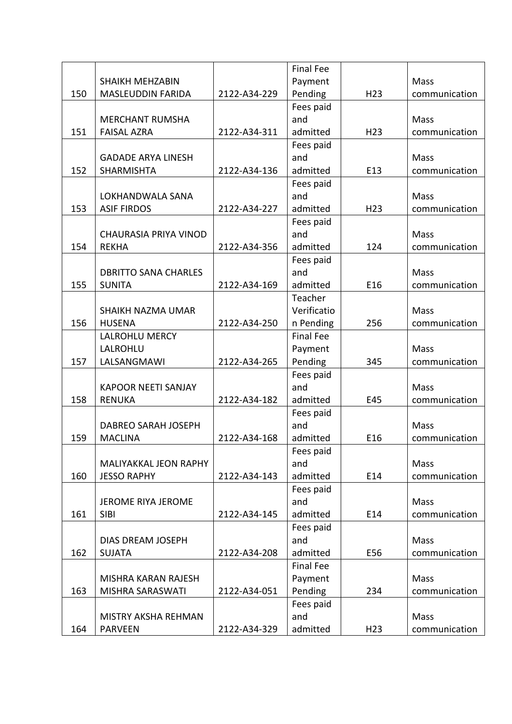|     |                             |              | <b>Final Fee</b> |                 |               |
|-----|-----------------------------|--------------|------------------|-----------------|---------------|
|     | <b>SHAIKH MEHZABIN</b>      |              | Payment          |                 | Mass          |
| 150 | <b>MASLEUDDIN FARIDA</b>    | 2122-A34-229 | Pending          | H <sub>23</sub> | communication |
|     |                             |              | Fees paid        |                 |               |
|     | <b>MERCHANT RUMSHA</b>      |              | and              |                 | Mass          |
| 151 | <b>FAISAL AZRA</b>          | 2122-A34-311 | admitted         | H <sub>23</sub> | communication |
|     |                             |              | Fees paid        |                 |               |
|     | <b>GADADE ARYA LINESH</b>   |              | and              |                 | Mass          |
| 152 | <b>SHARMISHTA</b>           | 2122-A34-136 | admitted         | E13             | communication |
|     |                             |              | Fees paid        |                 |               |
|     | LOKHANDWALA SANA            |              | and              |                 | Mass          |
| 153 | <b>ASIF FIRDOS</b>          | 2122-A34-227 | admitted         | H <sub>23</sub> | communication |
|     |                             |              | Fees paid        |                 |               |
|     | CHAURASIA PRIYA VINOD       |              | and              |                 | Mass          |
| 154 | <b>REKHA</b>                | 2122-A34-356 | admitted         | 124             | communication |
|     |                             |              | Fees paid        |                 |               |
|     | <b>DBRITTO SANA CHARLES</b> |              | and              |                 | Mass          |
| 155 | <b>SUNITA</b>               | 2122-A34-169 | admitted         | E16             | communication |
|     |                             |              | Teacher          |                 |               |
|     | <b>SHAIKH NAZMA UMAR</b>    |              | Verificatio      |                 | Mass          |
| 156 | <b>HUSENA</b>               | 2122-A34-250 | n Pending        | 256             | communication |
|     | LALROHLU MERCY              |              | <b>Final Fee</b> |                 |               |
|     | LALROHLU                    |              | Payment          |                 | Mass          |
| 157 | LALSANGMAWI                 | 2122-A34-265 | Pending          | 345             | communication |
|     |                             |              | Fees paid        |                 |               |
|     | <b>KAPOOR NEETI SANJAY</b>  |              | and              |                 | Mass          |
| 158 | <b>RENUKA</b>               | 2122-A34-182 | admitted         | E45             | communication |
|     |                             |              | Fees paid        |                 |               |
|     | DABREO SARAH JOSEPH         |              | and              |                 | Mass          |
| 159 | <b>MACLINA</b>              | 2122-A34-168 | admitted         | E16             | communication |
|     |                             |              | Fees paid        |                 |               |
|     | MALIYAKKAL JEON RAPHY       |              | and              |                 | Mass          |
| 160 | <b>JESSO RAPHY</b>          | 2122-A34-143 | admitted         | E14             | communication |
|     |                             |              | Fees paid        |                 |               |
|     | <b>JEROME RIYA JEROME</b>   |              | and              |                 | Mass          |
| 161 | <b>SIBI</b>                 | 2122-A34-145 | admitted         | E14             | communication |
|     |                             |              | Fees paid        |                 |               |
|     | DIAS DREAM JOSEPH           |              | and              |                 | Mass          |
| 162 | <b>SUJATA</b>               | 2122-A34-208 | admitted         | E56             | communication |
|     |                             |              | <b>Final Fee</b> |                 |               |
|     | MISHRA KARAN RAJESH         |              | Payment          |                 | Mass          |
| 163 | <b>MISHRA SARASWATI</b>     | 2122-A34-051 | Pending          | 234             | communication |
|     |                             |              | Fees paid        |                 |               |
|     | MISTRY AKSHA REHMAN         |              | and              |                 | Mass          |
| 164 | <b>PARVEEN</b>              | 2122-A34-329 | admitted         | H <sub>23</sub> | communication |
|     |                             |              |                  |                 |               |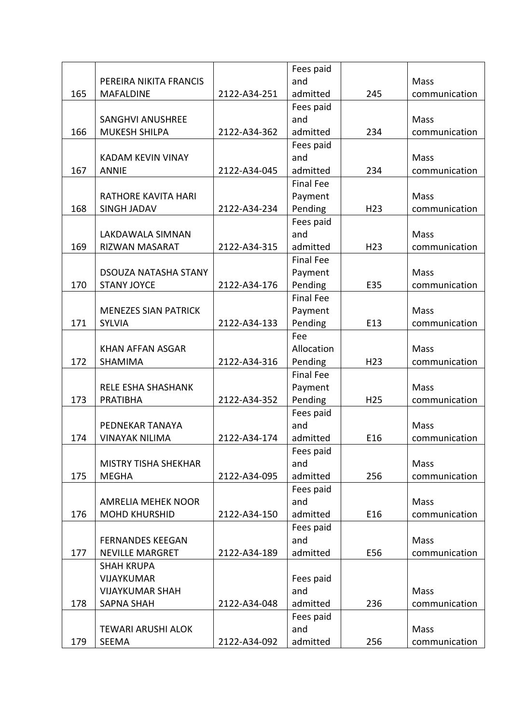|     |                                          |              | Fees paid        |                 |               |
|-----|------------------------------------------|--------------|------------------|-----------------|---------------|
|     | PEREIRA NIKITA FRANCIS                   |              | and              |                 | Mass          |
| 165 | <b>MAFALDINE</b>                         | 2122-A34-251 | admitted         | 245             | communication |
|     |                                          |              | Fees paid        |                 |               |
|     | <b>SANGHVI ANUSHREE</b>                  |              | and              |                 | Mass          |
| 166 | <b>MUKESH SHILPA</b>                     | 2122-A34-362 | admitted         | 234             | communication |
|     |                                          |              | Fees paid        |                 |               |
|     | <b>KADAM KEVIN VINAY</b>                 |              | and              |                 | Mass          |
| 167 | <b>ANNIE</b>                             | 2122-A34-045 | admitted         | 234             | communication |
|     |                                          |              | <b>Final Fee</b> |                 |               |
|     | RATHORE KAVITA HARI                      |              | Payment          |                 | Mass          |
| 168 | <b>SINGH JADAV</b>                       | 2122-A34-234 | Pending          | H <sub>23</sub> | communication |
|     |                                          |              | Fees paid        |                 |               |
|     | LAKDAWALA SIMNAN                         |              | and              |                 | Mass          |
| 169 | RIZWAN MASARAT                           | 2122-A34-315 | admitted         | H <sub>23</sub> | communication |
|     |                                          |              | <b>Final Fee</b> |                 |               |
|     | <b>DSOUZA NATASHA STANY</b>              |              | Payment          |                 | Mass          |
| 170 | <b>STANY JOYCE</b>                       | 2122-A34-176 | Pending          | E35             | communication |
|     |                                          |              | <b>Final Fee</b> |                 |               |
|     | <b>MENEZES SIAN PATRICK</b>              |              | Payment          |                 | Mass          |
| 171 | <b>SYLVIA</b>                            | 2122-A34-133 | Pending          | E13             | communication |
|     |                                          |              | Fee              |                 |               |
|     | KHAN AFFAN ASGAR                         |              | Allocation       |                 | Mass          |
| 172 | SHAMIMA                                  | 2122-A34-316 | Pending          | H <sub>23</sub> | communication |
|     |                                          |              | <b>Final Fee</b> |                 |               |
|     | <b>RELE ESHA SHASHANK</b>                |              | Payment          |                 | Mass          |
| 173 | <b>PRATIBHA</b>                          | 2122-A34-352 |                  | H <sub>25</sub> |               |
|     |                                          |              | Pending          |                 | communication |
|     |                                          |              | Fees paid<br>and |                 | Mass          |
| 174 | PEDNEKAR TANAYA<br><b>VINAYAK NILIMA</b> | 2122-A34-174 | admitted         | E16             |               |
|     |                                          |              |                  |                 | communication |
|     |                                          |              | Fees paid        |                 |               |
|     | <b>MISTRY TISHA SHEKHAR</b>              |              | and              |                 | Mass          |
| 175 | <b>MEGHA</b>                             | 2122-A34-095 | admitted         | 256             | communication |
|     |                                          |              | Fees paid        |                 |               |
|     | AMRELIA MEHEK NOOR                       |              | and              |                 | Mass          |
| 176 | <b>MOHD KHURSHID</b>                     | 2122-A34-150 | admitted         | E16             | communication |
|     |                                          |              | Fees paid        |                 |               |
|     | <b>FERNANDES KEEGAN</b>                  |              | and              |                 | Mass          |
| 177 | <b>NEVILLE MARGRET</b>                   | 2122-A34-189 | admitted         | E56             | communication |
|     | <b>SHAH KRUPA</b>                        |              |                  |                 |               |
|     | VIJAYKUMAR                               |              | Fees paid        |                 |               |
|     | <b>VIJAYKUMAR SHAH</b>                   |              | and              |                 | Mass          |
| 178 | <b>SAPNA SHAH</b>                        | 2122-A34-048 | admitted         | 236             | communication |
|     |                                          |              | Fees paid        |                 |               |
|     | <b>TEWARI ARUSHI ALOK</b>                |              | and              |                 | Mass          |
| 179 | SEEMA                                    | 2122-A34-092 | admitted         | 256             | communication |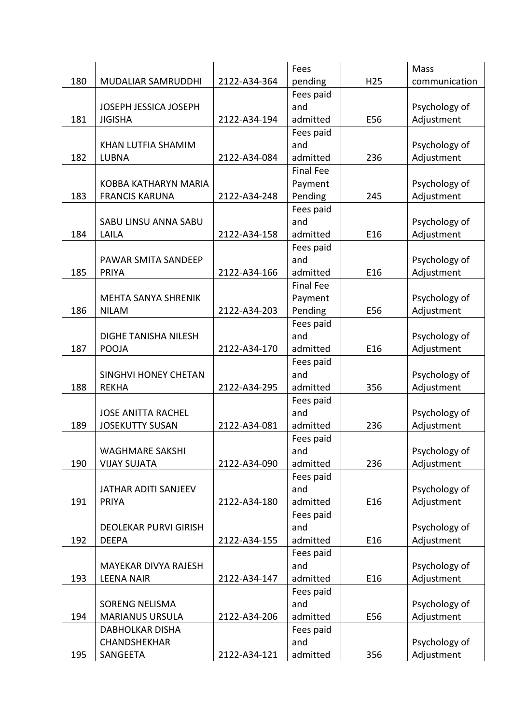|     |                              |              | Fees             |                 | Mass          |
|-----|------------------------------|--------------|------------------|-----------------|---------------|
| 180 | MUDALIAR SAMRUDDHI           | 2122-A34-364 | pending          | H <sub>25</sub> | communication |
|     |                              |              | Fees paid        |                 |               |
|     | <b>JOSEPH JESSICA JOSEPH</b> |              | and              |                 | Psychology of |
| 181 | <b>JIGISHA</b>               | 2122-A34-194 | admitted         | E56             | Adjustment    |
|     |                              |              | Fees paid        |                 |               |
|     | KHAN LUTFIA SHAMIM           |              | and              |                 | Psychology of |
| 182 | <b>LUBNA</b>                 | 2122-A34-084 | admitted         | 236             | Adjustment    |
|     |                              |              | <b>Final Fee</b> |                 |               |
|     | <b>KOBBA KATHARYN MARIA</b>  |              | Payment          |                 | Psychology of |
| 183 | <b>FRANCIS KARUNA</b>        | 2122-A34-248 | Pending          | 245             | Adjustment    |
|     |                              |              | Fees paid        |                 |               |
|     | SABU LINSU ANNA SABU         |              | and              |                 | Psychology of |
| 184 | LAILA                        | 2122-A34-158 | admitted         | E16             | Adjustment    |
|     |                              |              | Fees paid        |                 |               |
|     | PAWAR SMITA SANDEEP          |              | and              |                 | Psychology of |
| 185 | <b>PRIYA</b>                 | 2122-A34-166 | admitted         | E16             | Adjustment    |
|     |                              |              | <b>Final Fee</b> |                 |               |
|     | <b>MEHTA SANYA SHRENIK</b>   |              | Payment          |                 | Psychology of |
| 186 | <b>NILAM</b>                 | 2122-A34-203 | Pending          | E56             | Adjustment    |
|     |                              |              | Fees paid        |                 |               |
|     | DIGHE TANISHA NILESH         |              | and              |                 | Psychology of |
| 187 | <b>POOJA</b>                 | 2122-A34-170 | admitted         | E16             | Adjustment    |
|     |                              |              | Fees paid        |                 |               |
|     | <b>SINGHVI HONEY CHETAN</b>  |              | and              |                 | Psychology of |
| 188 | <b>REKHA</b>                 | 2122-A34-295 | admitted         | 356             | Adjustment    |
|     |                              |              | Fees paid        |                 |               |
|     | <b>JOSE ANITTA RACHEL</b>    |              | and              |                 | Psychology of |
| 189 | <b>JOSEKUTTY SUSAN</b>       | 2122-A34-081 | admitted         | 236             | Adjustment    |
|     |                              |              | Fees paid        |                 |               |
|     | <b>WAGHMARE SAKSHI</b>       |              | and              |                 | Psychology of |
| 190 | <b>VIJAY SUJATA</b>          | 2122-A34-090 | admitted         | 236             | Adjustment    |
|     |                              |              | Fees paid        |                 |               |
|     | JATHAR ADITI SANJEEV         |              | and              |                 | Psychology of |
| 191 | <b>PRIYA</b>                 | 2122-A34-180 | admitted         | E16             | Adjustment    |
|     |                              |              | Fees paid        |                 |               |
|     | <b>DEOLEKAR PURVI GIRISH</b> |              | and              |                 | Psychology of |
| 192 | <b>DEEPA</b>                 | 2122-A34-155 | admitted         | E16             | Adjustment    |
|     |                              |              | Fees paid        |                 |               |
|     | MAYEKAR DIVYA RAJESH         |              | and              |                 | Psychology of |
| 193 | <b>LEENA NAIR</b>            | 2122-A34-147 | admitted         | E16             | Adjustment    |
|     |                              |              | Fees paid        |                 |               |
|     | <b>SORENG NELISMA</b>        |              | and              |                 | Psychology of |
| 194 | <b>MARIANUS URSULA</b>       | 2122-A34-206 | admitted         | E56             | Adjustment    |
|     | <b>DABHOLKAR DISHA</b>       |              | Fees paid        |                 |               |
|     | CHANDSHEKHAR                 |              | and              |                 | Psychology of |
| 195 | SANGEETA                     | 2122-A34-121 | admitted         | 356             | Adjustment    |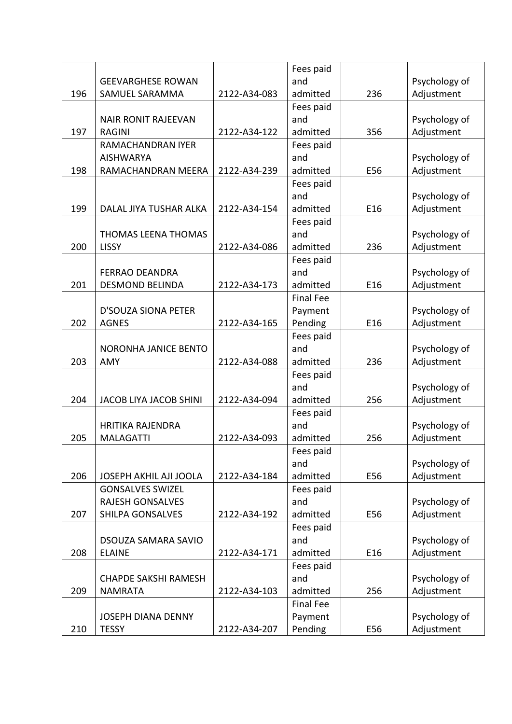|     |                             |              | Fees paid        |     |               |
|-----|-----------------------------|--------------|------------------|-----|---------------|
|     | <b>GEEVARGHESE ROWAN</b>    |              | and              |     | Psychology of |
| 196 | SAMUEL SARAMMA              | 2122-A34-083 | admitted         | 236 | Adjustment    |
|     |                             |              | Fees paid        |     |               |
|     | <b>NAIR RONIT RAJEEVAN</b>  |              | and              |     | Psychology of |
| 197 | <b>RAGINI</b>               | 2122-A34-122 | admitted         | 356 | Adjustment    |
|     | RAMACHANDRAN IYER           |              | Fees paid        |     |               |
|     | <b>AISHWARYA</b>            |              | and              |     | Psychology of |
| 198 | RAMACHANDRAN MEERA          | 2122-A34-239 | admitted         | E56 | Adjustment    |
|     |                             |              | Fees paid        |     |               |
|     |                             |              | and              |     | Psychology of |
| 199 | DALAL JIYA TUSHAR ALKA      | 2122-A34-154 | admitted         | E16 | Adjustment    |
|     |                             |              | Fees paid        |     |               |
|     | THOMAS LEENA THOMAS         |              | and              |     | Psychology of |
| 200 | <b>LISSY</b>                | 2122-A34-086 | admitted         | 236 | Adjustment    |
|     |                             |              | Fees paid        |     |               |
|     | <b>FERRAO DEANDRA</b>       |              | and              |     | Psychology of |
| 201 | <b>DESMOND BELINDA</b>      | 2122-A34-173 | admitted         | E16 | Adjustment    |
|     |                             |              | <b>Final Fee</b> |     |               |
|     | <b>D'SOUZA SIONA PETER</b>  |              | Payment          |     | Psychology of |
| 202 | <b>AGNES</b>                | 2122-A34-165 | Pending          | E16 | Adjustment    |
|     |                             |              | Fees paid        |     |               |
|     | NORONHA JANICE BENTO        |              | and              |     | Psychology of |
| 203 | <b>AMY</b>                  | 2122-A34-088 | admitted         | 236 | Adjustment    |
|     |                             |              | Fees paid        |     |               |
|     |                             |              | and              |     | Psychology of |
| 204 | JACOB LIYA JACOB SHINI      | 2122-A34-094 | admitted         | 256 | Adjustment    |
|     |                             |              | Fees paid        |     |               |
|     | <b>HRITIKA RAJENDRA</b>     |              | and              |     | Psychology of |
| 205 | <b>MALAGATTI</b>            | 2122-A34-093 | admitted         | 256 | Adjustment    |
|     |                             |              | Fees paid        |     |               |
|     |                             |              | and              |     | Psychology of |
| 206 | JOSEPH AKHIL AJI JOOLA      | 2122-A34-184 | admitted         | E56 | Adjustment    |
|     | <b>GONSALVES SWIZEL</b>     |              | Fees paid        |     |               |
|     | <b>RAJESH GONSALVES</b>     |              | and              |     | Psychology of |
| 207 | SHILPA GONSALVES            | 2122-A34-192 | admitted         | E56 | Adjustment    |
|     |                             |              | Fees paid        |     |               |
|     | DSOUZA SAMARA SAVIO         |              | and              |     | Psychology of |
| 208 | <b>ELAINE</b>               | 2122-A34-171 | admitted         | E16 | Adjustment    |
|     |                             |              | Fees paid        |     |               |
|     | <b>CHAPDE SAKSHI RAMESH</b> |              | and              |     | Psychology of |
| 209 | <b>NAMRATA</b>              | 2122-A34-103 | admitted         | 256 | Adjustment    |
|     |                             |              | <b>Final Fee</b> |     |               |
|     | <b>JOSEPH DIANA DENNY</b>   |              | Payment          |     | Psychology of |
| 210 | <b>TESSY</b>                | 2122-A34-207 | Pending          | E56 | Adjustment    |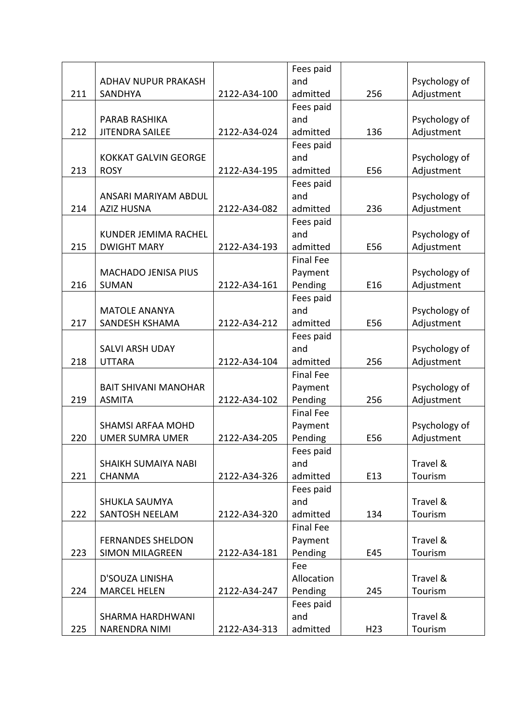|     |                             |              | Fees paid        |                 |               |
|-----|-----------------------------|--------------|------------------|-----------------|---------------|
|     | <b>ADHAV NUPUR PRAKASH</b>  |              | and              |                 | Psychology of |
| 211 | SANDHYA                     | 2122-A34-100 | admitted         | 256             | Adjustment    |
|     |                             |              | Fees paid        |                 |               |
|     | <b>PARAB RASHIKA</b>        |              | and              |                 | Psychology of |
| 212 | <b>JITENDRA SAILEE</b>      | 2122-A34-024 | admitted         | 136             | Adjustment    |
|     |                             |              | Fees paid        |                 |               |
|     | <b>KOKKAT GALVIN GEORGE</b> |              | and              |                 | Psychology of |
| 213 | <b>ROSY</b>                 | 2122-A34-195 | admitted         | E56             | Adjustment    |
|     |                             |              | Fees paid        |                 |               |
|     | ANSARI MARIYAM ABDUL        |              | and              |                 | Psychology of |
| 214 | <b>AZIZ HUSNA</b>           | 2122-A34-082 | admitted         | 236             | Adjustment    |
|     |                             |              | Fees paid        |                 |               |
|     | <b>KUNDER JEMIMA RACHEL</b> |              | and              |                 | Psychology of |
| 215 | <b>DWIGHT MARY</b>          | 2122-A34-193 | admitted         | E56             | Adjustment    |
|     |                             |              | <b>Final Fee</b> |                 |               |
|     | <b>MACHADO JENISA PIUS</b>  |              | Payment          |                 | Psychology of |
| 216 | <b>SUMAN</b>                | 2122-A34-161 | Pending          | E16             | Adjustment    |
|     |                             |              |                  |                 |               |
|     |                             |              | Fees paid        |                 |               |
|     | <b>MATOLE ANANYA</b>        |              | and              |                 | Psychology of |
| 217 | SANDESH KSHAMA              | 2122-A34-212 | admitted         | E56             | Adjustment    |
|     |                             |              | Fees paid        |                 |               |
|     | <b>SALVI ARSH UDAY</b>      |              | and              |                 | Psychology of |
| 218 | <b>UTTARA</b>               | 2122-A34-104 | admitted         | 256             | Adjustment    |
|     |                             |              | <b>Final Fee</b> |                 |               |
|     | <b>BAIT SHIVANI MANOHAR</b> |              | Payment          |                 | Psychology of |
| 219 | <b>ASMITA</b>               | 2122-A34-102 | Pending          | 256             | Adjustment    |
|     |                             |              | <b>Final Fee</b> |                 |               |
|     | <b>SHAMSI ARFAA MOHD</b>    |              | Payment          |                 | Psychology of |
| 220 | <b>UMER SUMRA UMER</b>      | 2122-A34-205 | Pending          | E56             | Adjustment    |
|     |                             |              | Fees paid        |                 |               |
|     | <b>SHAIKH SUMAIYA NABI</b>  |              | and              |                 | Travel &      |
| 221 | <b>CHANMA</b>               | 2122-A34-326 | admitted         | E13             | Tourism       |
|     |                             |              | Fees paid        |                 |               |
|     | <b>SHUKLA SAUMYA</b>        |              | and              |                 | Travel &      |
| 222 | SANTOSH NEELAM              | 2122-A34-320 | admitted         | 134             | Tourism       |
|     |                             |              | <b>Final Fee</b> |                 |               |
|     | <b>FERNANDES SHELDON</b>    |              | Payment          |                 | Travel &      |
| 223 | <b>SIMON MILAGREEN</b>      | 2122-A34-181 | Pending          | E45             | Tourism       |
|     |                             |              | Fee              |                 |               |
|     | D'SOUZA LINISHA             |              | Allocation       |                 | Travel &      |
| 224 | <b>MARCEL HELEN</b>         | 2122-A34-247 | Pending          | 245             | Tourism       |
|     |                             |              | Fees paid        |                 |               |
|     | <b>SHARMA HARDHWANI</b>     |              | and              |                 | Travel &      |
| 225 | NARENDRA NIMI               | 2122-A34-313 | admitted         | H <sub>23</sub> | Tourism       |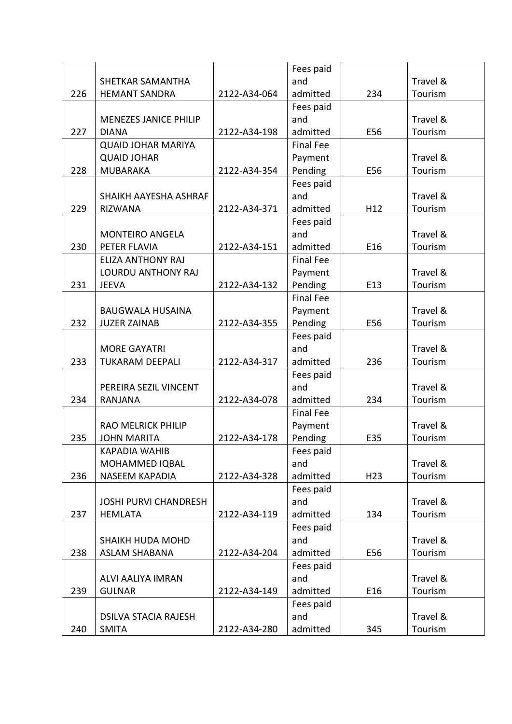|     |                              |              | Fees paid        |                 |          |
|-----|------------------------------|--------------|------------------|-----------------|----------|
|     | SHETKAR SAMANTHA             |              | and              |                 | Travel & |
| 226 | <b>HEMANT SANDRA</b>         | 2122-A34-064 | admitted         | 234             | Tourism  |
|     |                              |              | Fees paid        |                 |          |
|     | <b>MENEZES JANICE PHILIP</b> |              | and              |                 | Travel & |
| 227 | <b>DIANA</b>                 | 2122-A34-198 | admitted         | E56             | Tourism  |
|     | <b>QUAID JOHAR MARIYA</b>    |              | <b>Final Fee</b> |                 |          |
|     | <b>QUAID JOHAR</b>           |              | Payment          |                 | Travel & |
| 228 | <b>MUBARAKA</b>              | 2122-A34-354 | Pending          | E56             | Tourism  |
|     |                              |              | Fees paid        |                 |          |
|     | SHAIKH AAYESHA ASHRAF        |              | and              |                 | Travel & |
| 229 | <b>RIZWANA</b>               | 2122-A34-371 | admitted         | H12             | Tourism  |
|     |                              |              | Fees paid        |                 |          |
|     | <b>MONTEIRO ANGELA</b>       |              | and              |                 | Travel & |
| 230 | PETER FLAVIA                 | 2122-A34-151 | admitted         | E16             | Tourism  |
|     | <b>ELIZA ANTHONY RAJ</b>     |              | <b>Final Fee</b> |                 |          |
|     | <b>LOURDU ANTHONY RAJ</b>    |              | Payment          |                 | Travel & |
| 231 | <b>JEEVA</b>                 | 2122-A34-132 | Pending          | E13             | Tourism  |
|     |                              |              | <b>Final Fee</b> |                 |          |
|     | <b>BAUGWALA HUSAINA</b>      |              | Payment          |                 | Travel & |
| 232 | <b>JUZER ZAINAB</b>          | 2122-A34-355 | Pending          | E56             | Tourism  |
|     |                              |              | Fees paid        |                 |          |
|     | <b>MORE GAYATRI</b>          |              | and              |                 | Travel & |
| 233 | <b>TUKARAM DEEPALI</b>       | 2122-A34-317 | admitted         | 236             | Tourism  |
|     |                              |              | Fees paid        |                 |          |
|     | PEREIRA SEZIL VINCENT        |              | and              |                 | Travel & |
| 234 | <b>RANJANA</b>               | 2122-A34-078 | admitted         | 234             | Tourism  |
|     |                              |              | <b>Final Fee</b> |                 |          |
|     | <b>RAO MELRICK PHILIP</b>    |              | Payment          |                 | Travel & |
| 235 | <b>JOHN MARITA</b>           | 2122-A34-178 | Pending          | E35             | Tourism  |
|     | <b>KAPADIA WAHIB</b>         |              | Fees paid        |                 |          |
|     | MOHAMMED IQBAL               |              | and              |                 | Travel & |
| 236 | NASEEM KAPADIA               | 2122-A34-328 | admitted         | H <sub>23</sub> | Tourism  |
|     |                              |              | Fees paid        |                 |          |
|     | <b>JOSHI PURVI CHANDRESH</b> |              | and              |                 | Travel & |
| 237 | <b>HEMLATA</b>               | 2122-A34-119 | admitted         | 134             | Tourism  |
|     |                              |              | Fees paid        |                 |          |
|     | <b>SHAIKH HUDA MOHD</b>      |              | and              |                 | Travel & |
| 238 | <b>ASLAM SHABANA</b>         | 2122-A34-204 | admitted         | E56             | Tourism  |
|     |                              |              | Fees paid        |                 |          |
|     | ALVI AALIYA IMRAN            |              | and              |                 | Travel & |
| 239 | <b>GULNAR</b>                | 2122-A34-149 | admitted         | E16             | Tourism  |
|     |                              |              | Fees paid        |                 |          |
|     | <b>DSILVA STACIA RAJESH</b>  |              | and              |                 | Travel & |
| 240 | <b>SMITA</b>                 | 2122-A34-280 | admitted         | 345             | Tourism  |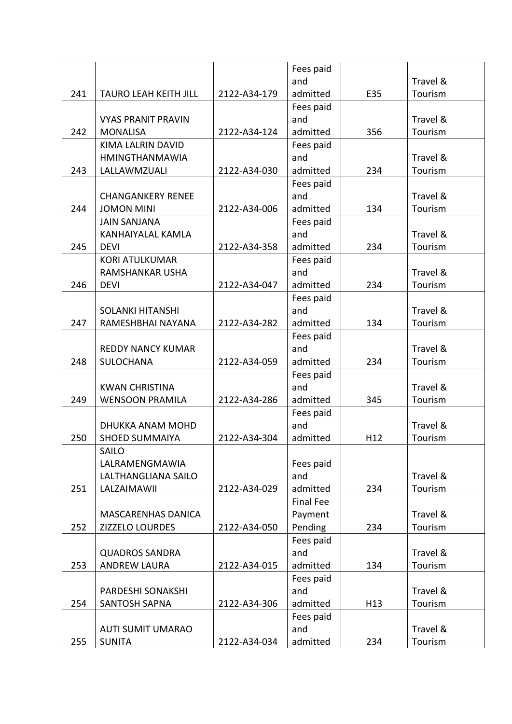|     |                              |              | Fees paid            |     |          |
|-----|------------------------------|--------------|----------------------|-----|----------|
|     |                              |              | and                  |     | Travel & |
| 241 | <b>TAURO LEAH KEITH JILL</b> | 2122-A34-179 | admitted             | E35 | Tourism  |
|     |                              |              | Fees paid            |     |          |
|     | <b>VYAS PRANIT PRAVIN</b>    |              | and                  |     | Travel & |
| 242 | <b>MONALISA</b>              | 2122-A34-124 | admitted             | 356 | Tourism  |
|     | KIMA LALRIN DAVID            |              | Fees paid            |     |          |
|     | <b>HMINGTHANMAWIA</b>        |              | and                  |     | Travel & |
| 243 | LALLAWMZUALI                 | 2122-A34-030 | admitted             | 234 | Tourism  |
|     |                              |              | Fees paid            |     |          |
|     | <b>CHANGANKERY RENEE</b>     |              | and                  |     | Travel & |
| 244 | <b>JOMON MINI</b>            | 2122-A34-006 | admitted             | 134 | Tourism  |
|     | <b>JAIN SANJANA</b>          |              | Fees paid            |     |          |
|     | KANHAIYALAL KAMLA            |              | and                  |     | Travel & |
| 245 | <b>DEVI</b>                  | 2122-A34-358 | admitted             | 234 | Tourism  |
|     | <b>KORI ATULKUMAR</b>        |              | Fees paid            |     |          |
|     | RAMSHANKAR USHA              |              | and                  |     | Travel & |
| 246 | <b>DEVI</b>                  | 2122-A34-047 | admitted             | 234 | Tourism  |
|     |                              |              | Fees paid            |     |          |
|     | <b>SOLANKI HITANSHI</b>      |              | and                  |     | Travel & |
| 247 | RAMESHBHAI NAYANA            | 2122-A34-282 | admitted             | 134 | Tourism  |
|     |                              |              | Fees paid            |     |          |
|     | <b>REDDY NANCY KUMAR</b>     |              | and                  |     | Travel & |
| 248 | SULOCHANA                    | 2122-A34-059 | admitted             | 234 | Tourism  |
|     |                              |              | Fees paid            |     |          |
|     | <b>KWAN CHRISTINA</b>        |              | and                  |     | Travel & |
| 249 | <b>WENSOON PRAMILA</b>       | 2122-A34-286 | admitted             | 345 | Tourism  |
|     |                              |              | Fees paid            |     |          |
|     | DHUKKA ANAM MOHD             |              | and                  |     | Travel & |
| 250 | <b>SHOED SUMMAIYA</b>        | 2122-A34-304 | admitted             | H12 | Tourism  |
|     | SAILO                        |              |                      |     |          |
|     | LALRAMENGMAWIA               |              | Fees paid            |     |          |
|     | LALTHANGLIANA SAILO          |              | and                  |     | Travel & |
| 251 | LALZAIMAWII                  | 2122-A34-029 | admitted             | 234 | Tourism  |
|     |                              |              | <b>Final Fee</b>     |     |          |
|     | <b>MASCARENHAS DANICA</b>    |              | Payment              |     | Travel & |
| 252 |                              | 2122-A34-050 |                      | 234 | Tourism  |
|     | ZIZZELO LOURDES              |              | Pending<br>Fees paid |     |          |
|     | <b>QUADROS SANDRA</b>        |              | and                  |     | Travel & |
| 253 | <b>ANDREW LAURA</b>          | 2122-A34-015 | admitted             | 134 | Tourism  |
|     |                              |              |                      |     |          |
|     |                              |              | Fees paid            |     |          |
|     | PARDESHI SONAKSHI            |              | and                  |     | Travel & |
| 254 | <b>SANTOSH SAPNA</b>         | 2122-A34-306 | admitted             | H13 | Tourism  |
|     |                              |              | Fees paid            |     |          |
|     | <b>AUTI SUMIT UMARAO</b>     |              | and                  |     | Travel & |
| 255 | <b>SUNITA</b>                | 2122-A34-034 | admitted             | 234 | Tourism  |